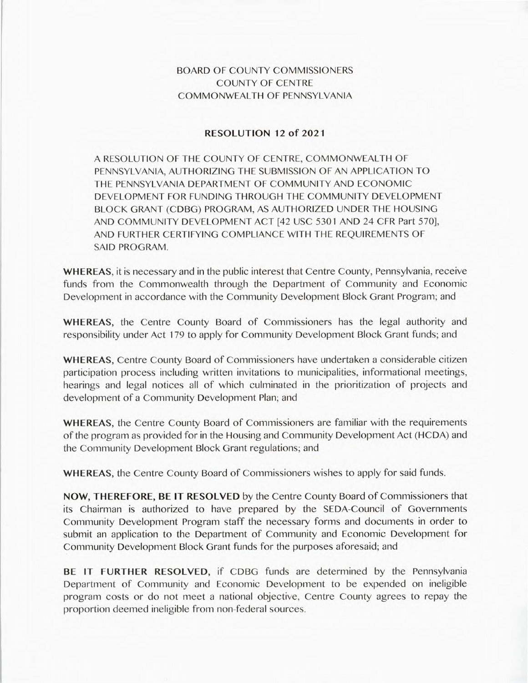## BOARD OF COUNTY COMMISSIONERS COUNTY OF CENTRE COMMONWEALTH OF PENNSYLVANIA

## **RESOLUTION** 12 **of 2021**

A RESOLUTION OF THE COUNTY OF CENTRE, COMMONWEALTH OF PENNSYLVANIA, AUTHORIZING THE SUBMISSION OF AN APPLICATION TO THE PENNSYLVANIA DEPARTMENT OF COMMUNITY AND ECONOMIC DEVELOPMENT FOR FUNDING THROUGH THE COMMUNITY DEVELOPMENT BLOCK GRANT (CDBG) PROGRAM, AS AUTHORIZED UNDER THE HOUSING AND COMMUNITY DEVELOPMENT ACT [42 USC 5301 AND 24 CFR Part 570], AND FURTHER CERTIFYING COMPLIANCE WITH THE REQUIREMENTS OF SAID PROGRAM.

**WHEREAS,** it is necessary and in the public interest that Centre County, Pennsylvania, receive funds from the Commonwealth through the Department of Community and Economic Development in accordance with the Community Development Block Grant Program; and

**WHEREAS,** the Centre County Board of Commissioners has the legal authority and responsibility under Act 179 to apply for Community Development Block Grant funds; and

**WHEREAS,** Centre County Board of Commissioners have undertaken a considerable citizen participation process including written invitations to municipalities, informational meetings, hearings and legal notices all of which culminated in the prioritization of projects and development of a Community Development Plan; and

**WHEREAS,** the Centre County Board of Commissioners are familiar with the requirements of the program as provided for in the Housing and Community Development Act (HCDA) and the Community Development Block Grant regulations; and

**WHEREAS,** the Centre County Board of Commissioners wishes to apply for said funds.

**NOW, THEREFORE, BE IT RESOLVED** by the Centre County Board of Commissioners that its Chairman is authorized to have prepared by the SEDA-Council of Governments Community Development Program staff the necessary forms and documents in order to submit an application to the Department of Community and Economic Development for Community Development Block Grant funds for the purposes aforesaid; and

**BE IT FURTHER RESOLVED,** if CDBG funds are determined by the Pennsylvania Department of Community and Economic Development to be expended on ineligible program costs or do not meet a national objective, Centre County agrees to repay the proportion deemed ineligible from non-federal sources.